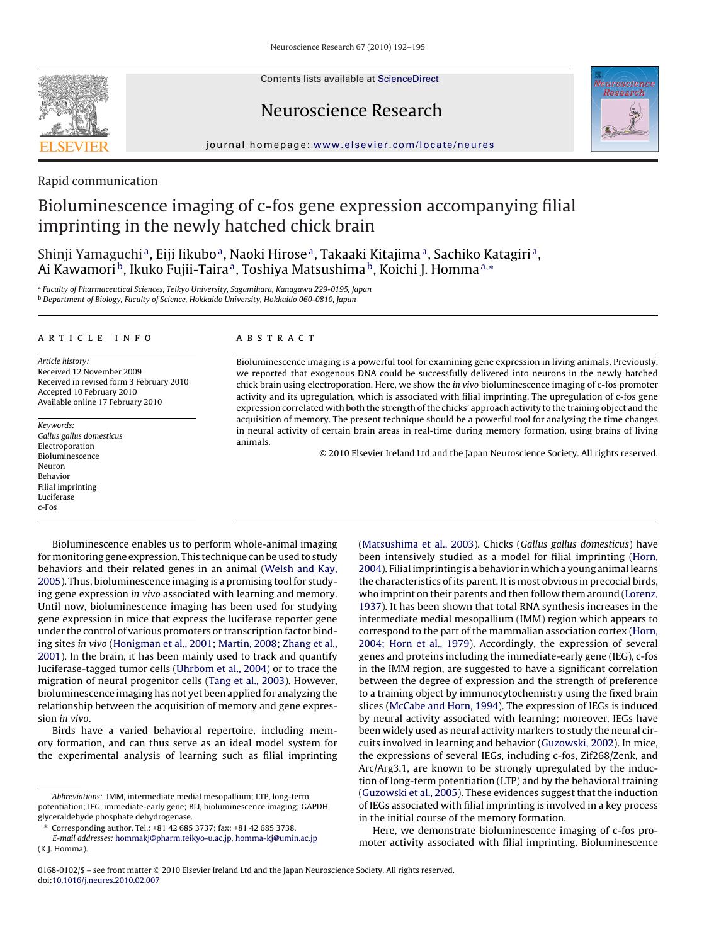Contents lists available at [ScienceDirect](http://www.sciencedirect.com/science/journal/01680102)



## Neuroscience Research



journal homepage: [www.elsevier.com/locate/neures](http://www.elsevier.com/locate/neures)

### Rapid communication

# Bioluminescence imaging of c-fos gene expression accompanying filial imprinting in the newly hatched chick brain

Shinji Yamaguchi<sup>a</sup>, Eiji Iikubo<sup>a</sup>, Naoki Hirose<sup>a</sup>, Takaaki Kitajima<sup>a</sup>, Sachiko Katagiri<sup>a</sup>, Ai Kawamori<sup>b</sup>, Ikuko Fujii-Taira<sup>a</sup>, Toshiya Matsushima<sup>b</sup>, Koichi J. Homma<sup>a,∗</sup>

a Faculty of Pharmaceutical Sciences, Teikyo University, Sagamihara, Kanagawa 229-0195, Japan <sup>b</sup> Department of Biology, Faculty of Science, Hokkaido University, Hokkaido 060-0810, Japan

#### article info

Article history: Received 12 November 2009 Received in revised form 3 February 2010 Accepted 10 February 2010 Available online 17 February 2010

Keywords: Gallus gallus domesticus Electroporation Bioluminescence Neuron Behavior Filial imprinting Luciferase c-Fos

#### **ABSTRACT**

Bioluminescence imaging is a powerful tool for examining gene expression in living animals. Previously, we reported that exogenous DNA could be successfully delivered into neurons in the newly hatched chick brain using electroporation. Here, we show the in vivo bioluminescence imaging of c-fos promoter activity and its upregulation, which is associated with filial imprinting. The upregulation of c-fos gene expression correlated with both the strength of the chicks' approach activity to the training object and the acquisition of memory. The present technique should be a powerful tool for analyzing the time changes in neural activity of certain brain areas in real-time during memory formation, using brains of living animals.

© 2010 Elsevier Ireland Ltd and the Japan Neuroscience Society. All rights reserved.

Bioluminescence enables us to perform whole-animal imaging for monitoring gene expression. This technique can be used to study behaviors and their related genes in an animal [\(Welsh and Kay,](#page-3-0) [2005\).](#page-3-0) Thus, bioluminescence imaging is a promising tool for studying gene expression in vivo associated with learning and memory. Until now, bioluminescence imaging has been used for studying gene expression in mice that express the luciferase reporter gene under the control of various promoters or transcription factor binding sites in vivo [\(Honigman et al., 2001; Martin, 2008; Zhang et al.,](#page-3-0) [2001\).](#page-3-0) In the brain, it has been mainly used to track and quantify luciferase-tagged tumor cells [\(Uhrbom et al., 2004\)](#page-3-0) or to trace the migration of neural progenitor cells ([Tang et al., 2003\).](#page-3-0) However, bioluminescence imaging has not yet been applied for analyzing the relationship between the acquisition of memory and gene expression in vivo.

Birds have a varied behavioral repertoire, including memory formation, and can thus serve as an ideal model system for the experimental analysis of learning such as filial imprinting [\(Matsushima et al., 2003\).](#page-3-0) Chicks (Gallus gallus domesticus) have been intensively studied as a model for filial imprinting ([Horn,](#page-3-0) [2004\).](#page-3-0) Filial imprinting is a behavior in which a young animal learns the characteristics of its parent. It is most obvious in precocial birds, who imprint on their parents and then follow them around [\(Lorenz,](#page-3-0) [1937\).](#page-3-0) It has been shown that total RNA synthesis increases in the intermediate medial mesopallium (IMM) region which appears to correspond to the part of the mammalian association cortex ([Horn,](#page-3-0) [2004; Horn et al., 1979\).](#page-3-0) Accordingly, the expression of several genes and proteins including the immediate-early gene (IEG), c-fos in the IMM region, are suggested to have a significant correlation between the degree of expression and the strength of preference to a training object by immunocytochemistry using the fixed brain slices [\(McCabe and Horn, 1994\).](#page-3-0) The expression of IEGs is induced by neural activity associated with learning; moreover, IEGs have been widely used as neural activity markers to study the neural circuits involved in learning and behavior [\(Guzowski, 2002\).](#page-3-0) In mice, the expressions of several IEGs, including c-fos, Zif268/Zenk, and Arc/Arg3.1, are known to be strongly upregulated by the induction of long-term potentiation (LTP) and by the behavioral training [\(Guzowski et al., 2005\).](#page-3-0) These evidences suggest that the induction of IEGs associated with filial imprinting is involved in a key process in the initial course of the memory formation.

Here, we demonstrate bioluminescence imaging of c-fos promoter activity associated with filial imprinting. Bioluminescence

Abbreviations: IMM, intermediate medial mesopallium; LTP, long-term potentiation; IEG, immediate-early gene; BLI, bioluminescence imaging; GAPDH, glyceraldehyde phosphate dehydrogenase.

<sup>∗</sup> Corresponding author. Tel.: +81 42 685 3737; fax: +81 42 685 3738.

E-mail addresses: [hommakj@pharm.teikyo-u.ac.jp,](mailto:hommakj@pharm.teikyo-u.ac.jp) [homma-kj@umin.ac.jp](mailto:homma-kj@umin.ac.jp) (K.J. Homma).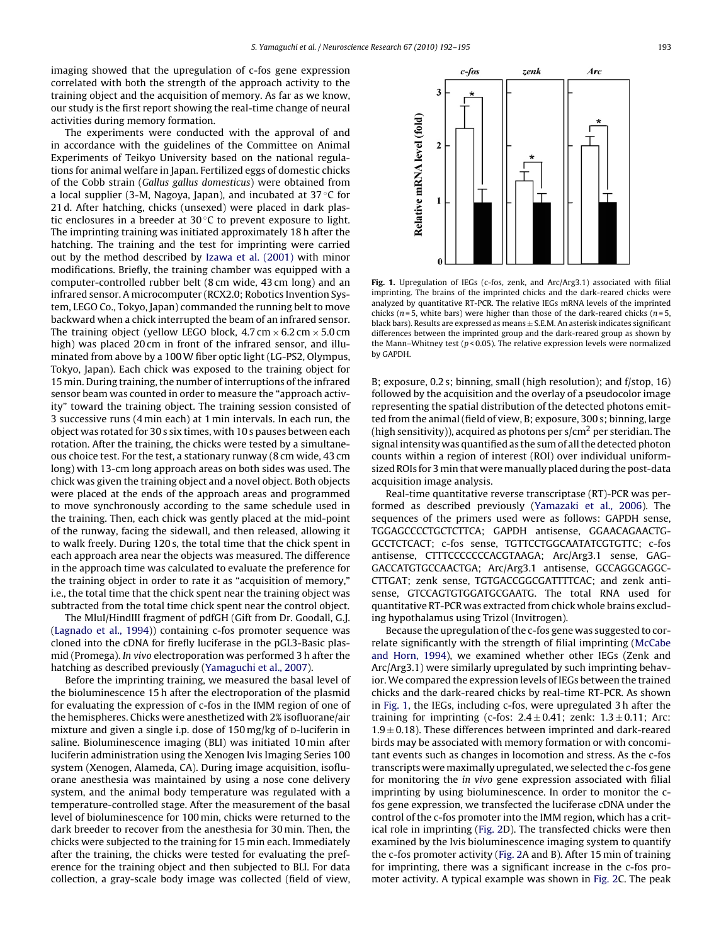imaging showed that the upregulation of c-fos gene expression correlated with both the strength of the approach activity to the training object and the acquisition of memory. As far as we know, our study is the first report showing the real-time change of neural activities during memory formation.

The experiments were conducted with the approval of and in accordance with the guidelines of the Committee on Animal Experiments of Teikyo University based on the national regulations for animal welfare in Japan. Fertilized eggs of domestic chicks of the Cobb strain (Gallus gallus domesticus) were obtained from a local supplier (3-M, Nagoya, Japan), and incubated at 37 ◦C for 21 d. After hatching, chicks (unsexed) were placed in dark plastic enclosures in a breeder at 30 ◦C to prevent exposure to light. The imprinting training was initiated approximately 18 h after the hatching. The training and the test for imprinting were carried out by the method described by [Izawa et al. \(2001\)](#page-3-0) with minor modifications. Briefly, the training chamber was equipped with a computer-controlled rubber belt (8 cm wide, 43 cm long) and an infrared sensor. A microcomputer (RCX2.0; Robotics Invention System, LEGO Co., Tokyo, Japan) commanded the running belt to move backward when a chick interrupted the beam of an infrared sensor. The training object (yellow LEGO block,  $4.7 \text{ cm} \times 6.2 \text{ cm} \times 5.0 \text{ cm}$ high) was placed 20 cm in front of the infrared sensor, and illuminated from above by a 100W fiber optic light (LG-PS2, Olympus, Tokyo, Japan). Each chick was exposed to the training object for 15 min. During training, the number of interruptions of the infrared sensor beam was counted in order to measure the "approach activity" toward the training object. The training session consisted of 3 successive runs (4 min each) at 1 min intervals. In each run, the object was rotated for 30 s six times, with 10 s pauses between each rotation. After the training, the chicks were tested by a simultaneous choice test. For the test, a stationary runway (8 cm wide, 43 cm long) with 13-cm long approach areas on both sides was used. The chick was given the training object and a novel object. Both objects were placed at the ends of the approach areas and programmed to move synchronously according to the same schedule used in the training. Then, each chick was gently placed at the mid-point of the runway, facing the sidewall, and then released, allowing it to walk freely. During 120 s, the total time that the chick spent in each approach area near the objects was measured. The difference in the approach time was calculated to evaluate the preference for the training object in order to rate it as "acquisition of memory," i.e., the total time that the chick spent near the training object was subtracted from the total time chick spent near the control object.

The MluI/HindIII fragment of pdfGH (Gift from Dr. Goodall, G.J. ([Lagnado et al., 1994\)\)](#page-3-0) containing c-fos promoter sequence was cloned into the cDNA for firefly luciferase in the pGL3-Basic plasmid (Promega). In vivo electroporation was performed 3 h after the hatching as described previously ([Yamaguchi et al., 2007\).](#page-3-0)

Before the imprinting training, we measured the basal level of the bioluminescence 15 h after the electroporation of the plasmid for evaluating the expression of c-fos in the IMM region of one of the hemispheres. Chicks were anesthetized with 2% isofluorane/air mixture and given a single i.p. dose of 150 mg/kg of p-luciferin in saline. Bioluminescence imaging (BLI) was initiated 10 min after luciferin administration using the Xenogen Ivis Imaging Series 100 system (Xenogen, Alameda, CA). During image acquisition, isofluorane anesthesia was maintained by using a nose cone delivery system, and the animal body temperature was regulated with a temperature-controlled stage. After the measurement of the basal level of bioluminescence for 100 min, chicks were returned to the dark breeder to recover from the anesthesia for 30 min. Then, the chicks were subjected to the training for 15 min each. Immediately after the training, the chicks were tested for evaluating the preference for the training object and then subjected to BLI. For data collection, a gray-scale body image was collected (field of view,



**Fig. 1.** Upregulation of IEGs (c-fos, zenk, and Arc/Arg3.1) associated with filial imprinting. The brains of the imprinted chicks and the dark-reared chicks were analyzed by quantitative RT-PCR. The relative IEGs mRNA levels of the imprinted chicks ( $n = 5$ , white bars) were higher than those of the dark-reared chicks ( $n = 5$ , black bars). Results are expressed as means  $\pm$  S.E.M. An asterisk indicates significant differences between the imprinted group and the dark-reared group as shown by the Mann–Whitney test ( $p < 0.05$ ). The relative expression levels were normalized by GAPDH.

B; exposure, 0.2 s; binning, small (high resolution); and f/stop, 16) followed by the acquisition and the overlay of a pseudocolor image representing the spatial distribution of the detected photons emitted from the animal (field of view, B; exposure, 300 s; binning, large (high sensitivity)), acquired as photons per  $s/cm<sup>2</sup>$  per steridian. The signal intensity was quantified as the sum of all the detected photon counts within a region of interest (ROI) over individual uniformsized ROIs for 3 min that were manually placed during the post-data acquisition image analysis.

Real-time quantitative reverse transcriptase (RT)-PCR was performed as described previously [\(Yamazaki et al., 2006\).](#page-3-0) The sequences of the primers used were as follows: GAPDH sense, TGGAGCCCCTGCTCTTCA; GAPDH antisense, GGAACAGAACTG-GCCTCTCACT; c-fos sense, TGTTCCTGGCAATATCGTGTTC; c-fos antisense, CTTTCCCCCCCACGTAAGA; Arc/Arg3.1 sense, GAG-GACCATGTGCCAACTGA; Arc/Arg3.1 antisense, GCCAGGCAGGC-CTTGAT; zenk sense, TGTGACCGGCGATTTTCAC; and zenk antisense, GTCCAGTGTGGATGCGAATG. The total RNA used for quantitative RT-PCR was extracted from chick whole brains excluding hypothalamus using Trizol (Invitrogen).

Because the upregulation of the c-fos gene was suggested to correlate significantly with the strength of filial imprinting ([McCabe](#page-3-0) [and Horn, 1994\),](#page-3-0) we examined whether other IEGs (Zenk and Arc/Arg3.1) were similarly upregulated by such imprinting behavior. We compared the expression levels of IEGs between the trained chicks and the dark-reared chicks by real-time RT-PCR. As shown in Fig. 1, the IEGs, including c-fos, were upregulated 3 h after the training for imprinting (c-fos:  $2.4 \pm 0.41$ ; zenk:  $1.3 \pm 0.11$ ; Arc:  $1.9 \pm 0.18$ ). These differences between imprinted and dark-reared birds may be associated with memory formation or with concomitant events such as changes in locomotion and stress. As the c-fos transcripts were maximally upregulated, we selected the c-fos gene for monitoring the in vivo gene expression associated with filial imprinting by using bioluminescence. In order to monitor the cfos gene expression, we transfected the luciferase cDNA under the control of the c-fos promoter into the IMM region, which has a critical role in imprinting [\(Fig. 2D](#page-2-0)). The transfected chicks were then examined by the Ivis bioluminescence imaging system to quantify the c-fos promoter activity [\(Fig. 2A](#page-2-0) and B). After 15 min of training for imprinting, there was a significant increase in the c-fos promoter activity. A typical example was shown in [Fig. 2C](#page-2-0). The peak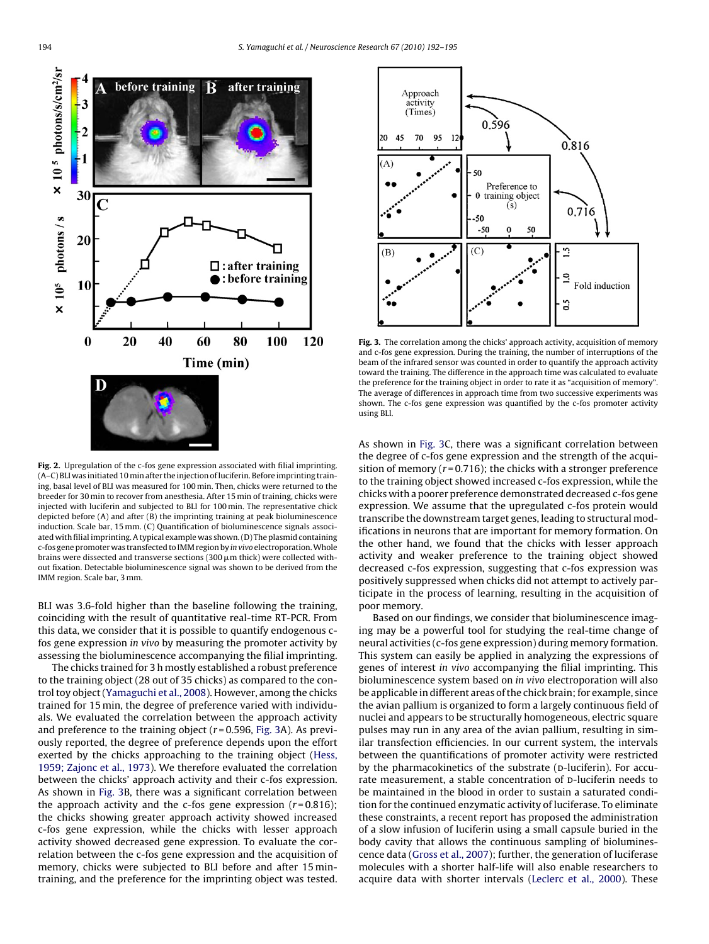<span id="page-2-0"></span>

**Fig. 2.** Upregulation of the c-fos gene expression associated with filial imprinting. (A–C) BLI was initiated 10 min after the injection of luciferin. Before imprinting training, basal level of BLI was measured for 100 min. Then, chicks were returned to the breeder for 30 min to recover from anesthesia. After 15 min of training, chicks were injected with luciferin and subjected to BLI for 100 min. The representative chick depicted before (A) and after (B) the imprinting training at peak bioluminescence induction. Scale bar, 15 mm. (C) Quantification of bioluminescence signals associated with filial imprinting. A typical example was shown. (D) The plasmid containing c-fos gene promoter was transfected to IMM region by in vivo electroporation.Whole brains were dissected and transverse sections (300  $\mu$ m thick) were collected without fixation. Detectable bioluminescence signal was shown to be derived from the IMM region. Scale bar, 3 mm.

BLI was 3.6-fold higher than the baseline following the training, coinciding with the result of quantitative real-time RT-PCR. From this data, we consider that it is possible to quantify endogenous cfos gene expression in vivo by measuring the promoter activity by assessing the bioluminescence accompanying the filial imprinting.

The chicks trained for 3 h mostly established a robust preference to the training object (28 out of 35 chicks) as compared to the control toy object [\(Yamaguchi et al., 2008\).](#page-3-0) However, among the chicks trained for 15 min, the degree of preference varied with individuals. We evaluated the correlation between the approach activity and preference to the training object ( $r = 0.596$ , Fig. 3A). As previously reported, the degree of preference depends upon the effort exerted by the chicks approaching to the training object ([Hess,](#page-3-0) [1959; Zajonc et al., 1973\).](#page-3-0) We therefore evaluated the correlation between the chicks' approach activity and their c-fos expression. As shown in Fig. 3B, there was a significant correlation between the approach activity and the c-fos gene expression  $(r=0.816)$ ; the chicks showing greater approach activity showed increased c-fos gene expression, while the chicks with lesser approach activity showed decreased gene expression. To evaluate the correlation between the c-fos gene expression and the acquisition of memory, chicks were subjected to BLI before and after 15 mintraining, and the preference for the imprinting object was tested.



**Fig. 3.** The correlation among the chicks' approach activity, acquisition of memory and c-fos gene expression. During the training, the number of interruptions of the beam of the infrared sensor was counted in order to quantify the approach activity toward the training. The difference in the approach time was calculated to evaluate the preference for the training object in order to rate it as "acquisition of memory". The average of differences in approach time from two successive experiments was shown. The c-fos gene expression was quantified by the c-fos promoter activity using BLI.

As shown in Fig. 3C, there was a significant correlation between the degree of c-fos gene expression and the strength of the acquisition of memory ( $r = 0.716$ ); the chicks with a stronger preference to the training object showed increased c-fos expression, while the chicks with a poorer preference demonstrated decreased c-fos gene expression. We assume that the upregulated c-fos protein would transcribe the downstream target genes, leading to structural modifications in neurons that are important for memory formation. On the other hand, we found that the chicks with lesser approach activity and weaker preference to the training object showed decreased c-fos expression, suggesting that c-fos expression was positively suppressed when chicks did not attempt to actively participate in the process of learning, resulting in the acquisition of poor memory.

Based on our findings, we consider that bioluminescence imaging may be a powerful tool for studying the real-time change of neural activities (c-fos gene expression) during memory formation. This system can easily be applied in analyzing the expressions of genes of interest in vivo accompanying the filial imprinting. This bioluminescence system based on in vivo electroporation will also be applicable in different areas of the chick brain; for example, since the avian pallium is organized to form a largely continuous field of nuclei and appears to be structurally homogeneous, electric square pulses may run in any area of the avian pallium, resulting in similar transfection efficiencies. In our current system, the intervals between the quantifications of promoter activity were restricted by the pharmacokinetics of the substrate (p-luciferin). For accurate measurement, a stable concentration of p-luciferin needs to be maintained in the blood in order to sustain a saturated condition for the continued enzymatic activity of luciferase. To eliminate these constraints, a recent report has proposed the administration of a slow infusion of luciferin using a small capsule buried in the body cavity that allows the continuous sampling of bioluminescence data ([Gross et al., 2007\);](#page-3-0) further, the generation of luciferase molecules with a shorter half-life will also enable researchers to acquire data with shorter intervals ([Leclerc et al., 2000\).](#page-3-0) These